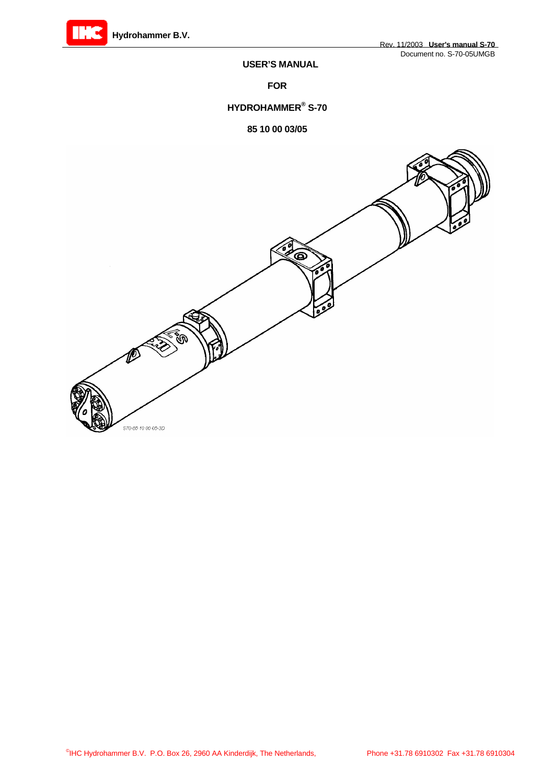

## **USER'S MANUAL**

 **FOR** 

## **HYDROHAMMER® S-70**

## **85 10 00 03/05**

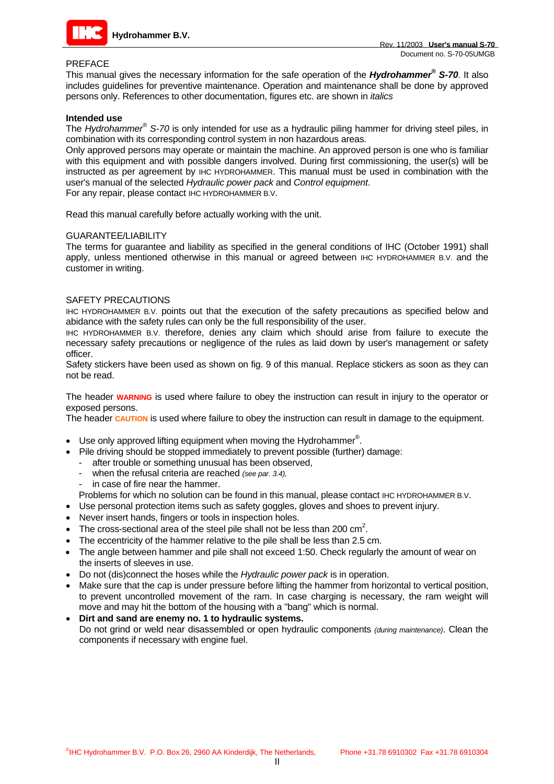

#### PREFACE

This manual gives the necessary information for the safe operation of the *Hydrohammer® S-70*. It also includes guidelines for preventive maintenance. Operation and maintenance shall be done by approved persons only. References to other documentation, figures etc. are shown in *italics*

#### **Intended use**

The *Hydrohammer® S-70* is only intended for use as a hydraulic piling hammer for driving steel piles, in combination with its corresponding control system in non hazardous areas.

Only approved persons may operate or maintain the machine. An approved person is one who is familiar with this equipment and with possible dangers involved. During first commissioning, the user(s) will be instructed as per agreement by IHC HYDROHAMMER. This manual must be used in combination with the user's manual of the selected *Hydraulic power pack* and *Control equipment*.

For any repair, please contact IHC HYDROHAMMER B.V.

Read this manual carefully before actually working with the unit.

#### GUARANTEE/LIABILITY

The terms for guarantee and liability as specified in the general conditions of IHC (October 1991) shall apply, unless mentioned otherwise in this manual or agreed between IHC HYDROHAMMER B.V. and the customer in writing.

#### SAFETY PRECAUTIONS

IHC HYDROHAMMER B.V. points out that the execution of the safety precautions as specified below and abidance with the safety rules can only be the full responsibility of the user.

IHC HYDROHAMMER B.V. therefore, denies any claim which should arise from failure to execute the necessary safety precautions or negligence of the rules as laid down by user's management or safety officer.

Safety stickers have been used as shown on fig. 9 of this manual. Replace stickers as soon as they can not be read.

The header **WARNING** is used where failure to obey the instruction can result in injury to the operator or exposed persons.

The header **CAUTION** is used where failure to obey the instruction can result in damage to the equipment.

- Use only approved lifting equipment when moving the Hydrohammer<sup>®</sup>.
- Pile driving should be stopped immediately to prevent possible (further) damage:
	- after trouble or something unusual has been observed,
	- when the refusal criteria are reached *(see par. 3.4),*
	- in case of fire near the hammer.

Problems for which no solution can be found in this manual, please contact IHC HYDROHAMMER B.V.

- Use personal protection items such as safety goggles, gloves and shoes to prevent injury.
- Never insert hands, fingers or tools in inspection holes.
- The cross-sectional area of the steel pile shall not be less than 200  $\text{cm}^2$ .
- The eccentricity of the hammer relative to the pile shall be less than 2.5 cm.
- The angle between hammer and pile shall not exceed 1:50. Check regularly the amount of wear on the inserts of sleeves in use.
- Do not (dis)connect the hoses while the *Hydraulic power pack* is in operation.
- Make sure that the cap is under pressure before lifting the hammer from horizontal to vertical position, to prevent uncontrolled movement of the ram. In case charging is necessary, the ram weight will move and may hit the bottom of the housing with a "bang" which is normal.
- **Dirt and sand are enemy no. 1 to hydraulic systems.** Do not grind or weld near disassembled or open hydraulic components *(during maintenance)*. Clean the components if necessary with engine fuel.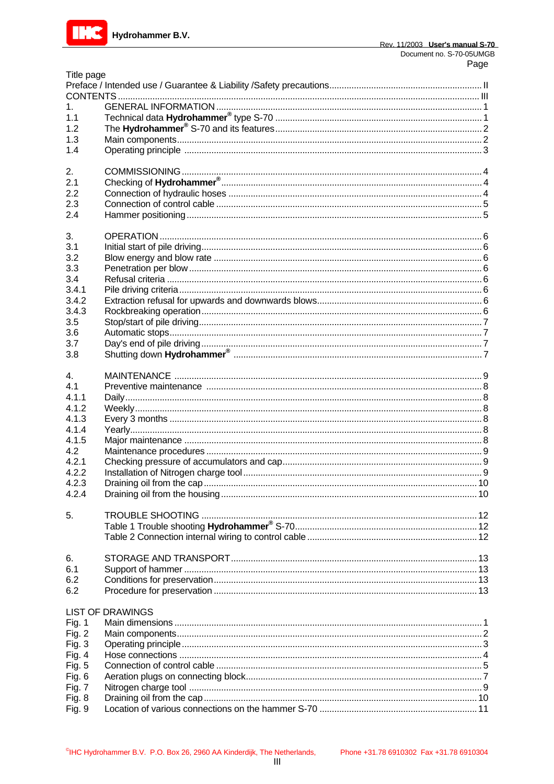

| Title page    |                         |  |
|---------------|-------------------------|--|
|               |                         |  |
|               |                         |  |
| $1_{-}$       |                         |  |
| 1.1           |                         |  |
| 1.2           |                         |  |
| 1.3           |                         |  |
| 1.4           |                         |  |
|               |                         |  |
| 2.            |                         |  |
| 2.1           |                         |  |
| 2.2           |                         |  |
| 2.3           |                         |  |
| 2.4           |                         |  |
|               |                         |  |
| 3.            |                         |  |
|               |                         |  |
| 3.1           |                         |  |
| 3.2           |                         |  |
| 3.3           |                         |  |
| 3.4           |                         |  |
| 3.4.1         |                         |  |
| 3.4.2         |                         |  |
| 3.4.3         |                         |  |
| 3.5           |                         |  |
| 3.6           |                         |  |
| 3.7           |                         |  |
| 3.8           |                         |  |
|               |                         |  |
| 4.            |                         |  |
| 4.1           |                         |  |
| 4.1.1         |                         |  |
| 4.1.2         |                         |  |
| 4.1.3         |                         |  |
| 4.1.4         |                         |  |
| 4.1.5         |                         |  |
| 4.2           |                         |  |
| 4.2.1         |                         |  |
| 4.2.2         |                         |  |
| 4.2.3         |                         |  |
| 4.2.4         |                         |  |
|               |                         |  |
| 5.            |                         |  |
|               |                         |  |
|               |                         |  |
|               |                         |  |
| 6.            |                         |  |
| 6.1           |                         |  |
| 6.2           |                         |  |
| 6.2           |                         |  |
|               |                         |  |
|               | <b>LIST OF DRAWINGS</b> |  |
| <b>Fig. 1</b> |                         |  |
| Fig. $2$      |                         |  |
| Fig. 3        |                         |  |
| Fig. $4$      |                         |  |
| Fig. 5        |                         |  |
| Fig. $6$      |                         |  |
| <b>Fig. 7</b> |                         |  |
| <b>Fig. 8</b> |                         |  |
| Fig. 9        |                         |  |
|               |                         |  |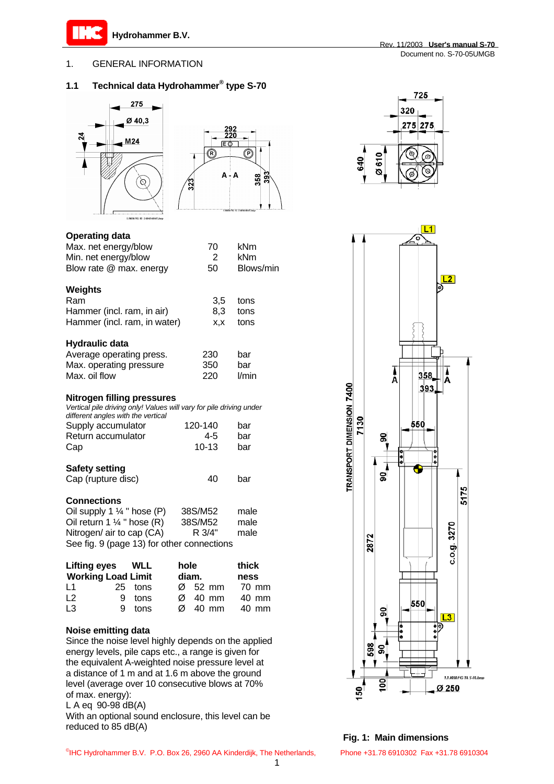

## 1. GENERAL INFORMATION

## **1.1 Technical data Hydrohammer ® type S-70**





| <b>Operating data</b> |  |
|-----------------------|--|
|                       |  |

| Max. net energy/blow         | 70  | kNm       |
|------------------------------|-----|-----------|
| Min. net energy/blow         | 2   | kNm       |
| Blow rate @ max. energy      | 50  | Blows/min |
| Weights                      |     |           |
| Ram                          | 3,5 | tons      |
| Hammer (incl. ram, in air)   | 8,3 | tons      |
| Hammer (incl. ram, in water) | X,X | tons      |
| <b>Hydraulic data</b>        |     |           |
| Average operating press.     | 230 | bar       |
| Max. operating pressure      | 350 | bar       |
| Max. oil flow                | 220 | l/min     |

#### **Nitrogen filling pressures**

| Vertical pile driving only! Values will vary for pile driving under |         |     |
|---------------------------------------------------------------------|---------|-----|
| different angles with the vertical                                  |         |     |
| Supply accumulator                                                  | 120-140 | bar |

| oupply about that of | .       | ້   |
|----------------------|---------|-----|
| Return accumulator   | 4-5     | bar |
| Cap                  | $10-13$ | bar |
| - -                  |         |     |

# **Safety setting**

| Cap (rupture disc) | 40 | bar |
|--------------------|----|-----|
|                    |    |     |

## **Connections**

| Oil supply 1 $\frac{1}{4}$ " hose (P)      | 38S/M52 | male |
|--------------------------------------------|---------|------|
| Oil return 1 $\frac{1}{4}$ " hose (R)      | 38S/M52 | male |
| Nitrogen/ air to cap (CA)                  | R 3/4"  | male |
| See fig. 9 (page 13) for other connections |         |      |

| Lifting eyes WLL          |    |         | hole |                     |       | thick |       |
|---------------------------|----|---------|------|---------------------|-------|-------|-------|
| <b>Working Load Limit</b> |    |         |      | diam.               |       | ness  |       |
| L <sub>1</sub>            |    | 25 tons |      | $\varnothing$ 52 mm |       |       | 70 mm |
| L <sub>2</sub>            |    | 9 tons  | Ø    |                     | 40 mm |       | 40 mm |
| L <sub>3</sub>            | 9. | tons    | Ø    |                     | 40 mm |       | 40 mm |

#### **Noise emitting data**

Since the noise level highly depends on the applied energy levels, pile caps etc., a range is given for the equivalent A-weighted noise pressure level at a distance of 1 m and at 1.6 m above the ground level (average over 10 consecutive blows at 70% of max. energy):

L A eq 90-98 dB(A)

With an optional sound enclosure, this level can be reduced to 85 dB(A)





**Fig. 1: Main dimensions**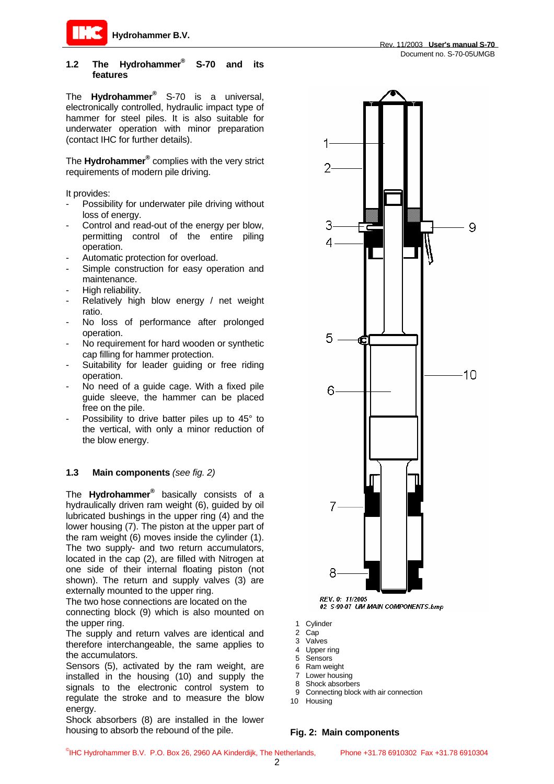

#### **1.2 The Hydrohammer® S-70 and its features**

The **Hydrohammer®** S-70 is a universal, electronically controlled, hydraulic impact type of hammer for steel piles. It is also suitable for underwater operation with minor preparation (contact IHC for further details).

The **Hydrohammer®** complies with the very strict requirements of modern pile driving.

It provides:

- Possibility for underwater pile driving without loss of energy.
- Control and read-out of the energy per blow, permitting control of the entire piling operation.
- Automatic protection for overload.
- Simple construction for easy operation and maintenance.
- High reliability.
- Relatively high blow energy / net weight ratio.
- No loss of performance after prolonged operation.
- No requirement for hard wooden or synthetic cap filling for hammer protection.
- Suitability for leader guiding or free riding operation.
- No need of a guide cage. With a fixed pile guide sleeve, the hammer can be placed free on the pile.
- Possibility to drive batter piles up to 45° to the vertical, with only a minor reduction of the blow energy.

#### **1.3 Main components** *(see fig. 2)*

The **Hydrohammer®** basically consists of a hydraulically driven ram weight (6), guided by oil lubricated bushings in the upper ring (4) and the lower housing (7). The piston at the upper part of the ram weight (6) moves inside the cylinder (1). The two supply- and two return accumulators, located in the cap (2), are filled with Nitrogen at one side of their internal floating piston (not shown). The return and supply valves (3) are externally mounted to the upper ring.

The two hose connections are located on the

connecting block (9) which is also mounted on the upper ring.

The supply and return valves are identical and therefore interchangeable, the same applies to the accumulators.

Sensors (5), activated by the ram weight, are installed in the housing (10) and supply the signals to the electronic control system to regulate the stroke and to measure the blow energy.

Shock absorbers (8) are installed in the lower housing to absorb the rebound of the pile.

Rev. 11/2003 **User's manual S-70**



1 Cylinder

- 2 Cap
- 3 Valves
- 4 Upper ring
- 5 Sensors
- 6 Ram weight
- 7 Lower housing
- 8 Shock absorbers
- 9 Connecting block with air connection
- 10 Housing

#### **Fig. 2: Main components**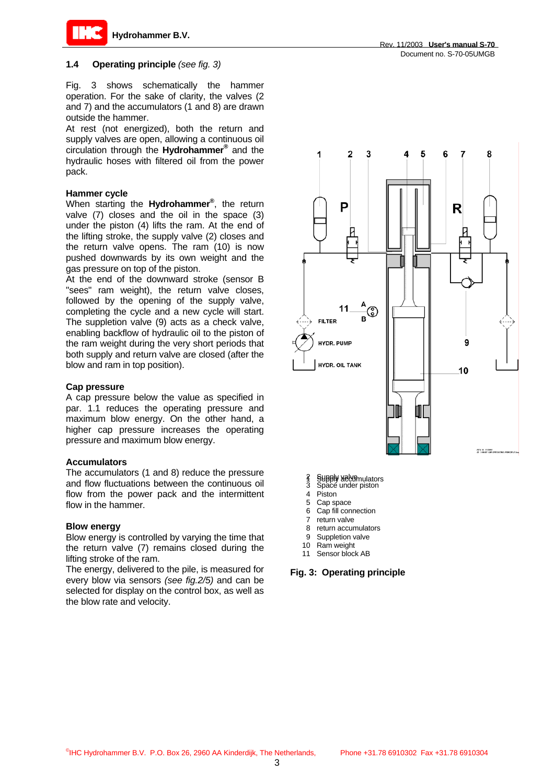

#### **1.4 Operating principle** *(see fig. 3)*

Fig. 3 shows schematically the hammer operation. For the sake of clarity, the valves (2 and 7) and the accumulators (1 and 8) are drawn outside the hammer.

At rest (not energized), both the return and supply valves are open, allowing a continuous oil circulation through the **Hydrohammer®** and the hydraulic hoses with filtered oil from the power pack.

#### **Hammer cycle**

When starting the **Hydrohammer®** , the return valve (7) closes and the oil in the space (3) under the piston (4) lifts the ram. At the end of the lifting stroke, the supply valve (2) closes and the return valve opens. The ram (10) is now pushed downwards by its own weight and the gas pressure on top of the piston.

At the end of the downward stroke (sensor B "sees" ram weight), the return valve closes, followed by the opening of the supply valve, completing the cycle and a new cycle will start. The suppletion valve (9) acts as a check valve, enabling backflow of hydraulic oil to the piston of the ram weight during the very short periods that both supply and return valve are closed (after the blow and ram in top position).

#### **Cap pressure**

A cap pressure below the value as specified in par. 1.1 reduces the operating pressure and maximum blow energy. On the other hand, a higher cap pressure increases the operating pressure and maximum blow energy.

#### **Accumulators**

The accumulators (1 and 8) reduce the pressure and flow fluctuations between the continuous oil flow from the power pack and the intermittent flow in the hammer.

#### **Blow energy**

Blow energy is controlled by varying the time that the return valve (7) remains closed during the lifting stroke of the ram.

The energy, delivered to the pile, is measured for every blow via sensors *(see fig.2/5)* and can be selected for display on the control box, as well as the blow rate and velocity.



- 2 Supply valufators<br>3 Space under piston
- 4 Piston
- 
- 5 Cap space 6 Cap fill connection
- 7 return valve
- 8 return accumulators
- 9 Suppletion valve
- 10 Ram weight
- 11 Sensor block AB

#### **Fig. 3: Operating principle**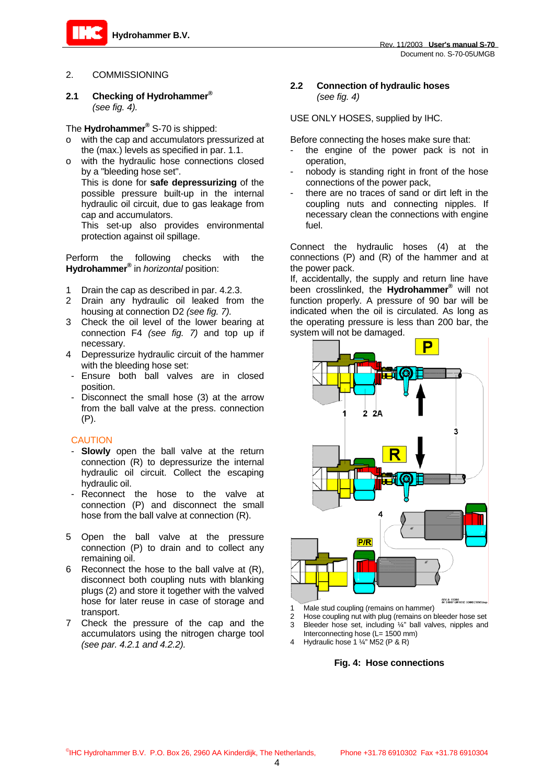

#### 2. COMMISSIONING

**2.1 Checking of Hydrohammer ®** *(see fig. 4).*

## The **Hydrohammer®** S-70 is shipped:

- o with the cap and accumulators pressurized at the (max.) levels as specified in par. 1.1.
- o with the hydraulic hose connections closed by a "bleeding hose set". This is done for **safe depressurizing** of the possible pressure built-up in the internal hydraulic oil circuit, due to gas leakage from cap and accumulators.

This set-up also provides environmental protection against oil spillage.

Perform the following checks with the **Hydrohammer®** in *horizontal* position:

- 1 Drain the cap as described in par. 4.2.3.
- 2 Drain any hydraulic oil leaked from the housing at connection D2 *(see fig. 7).*
- 3 Check the oil level of the lower bearing at connection F4 *(see fig. 7)* and top up if necessary.
- 4 Depressurize hydraulic circuit of the hammer with the bleeding hose set:
- Ensure both ball valves are in closed position.
- Disconnect the small hose (3) at the arrow from the ball valve at the press. connection (P).

## CAUTION

- - **Slowly** open the ball valve at the return connection (R) to depressurize the internal hydraulic oil circuit. Collect the escaping hydraulic oil.
- Reconnect the hose to the valve at connection (P) and disconnect the small hose from the ball valve at connection (R).
- 5 Open the ball valve at the pressure connection (P) to drain and to collect any remaining oil.
- 6 Reconnect the hose to the ball valve at (R), disconnect both coupling nuts with blanking plugs (2) and store it together with the valved hose for later reuse in case of storage and transport.
- 7 Check the pressure of the cap and the accumulators using the nitrogen charge tool *(see par. 4.2.1 and 4.2.2).*

## **2.2 Connection of hydraulic hoses** *(see fig. 4)*

USE ONLY HOSES, supplied by IHC.

Before connecting the hoses make sure that:

- the engine of the power pack is not in operation,
- nobody is standing right in front of the hose connections of the power pack,
- there are no traces of sand or dirt left in the coupling nuts and connecting nipples. If necessary clean the connections with engine fuel.

Connect the hydraulic hoses (4) at the connections (P) and (R) of the hammer and at the power pack.

If, accidentally, the supply and return line have been crosslinked, the **Hydrohammer®** will not function properly. A pressure of 90 bar will be indicated when the oil is circulated. As long as the operating pressure is less than 200 bar, the system will not be damaged.



- Male stud coupling (remains on hammer)
- Hose coupling nut with plug (remains on bleeder hose set 3 Bleeder hose set, including ¼" ball valves, nipples and Interconnecting hose (L= 1500 mm)
- 4 Hydraulic hose 1 ¼" M52 (P & R)

#### **Fig. 4: Hose connections**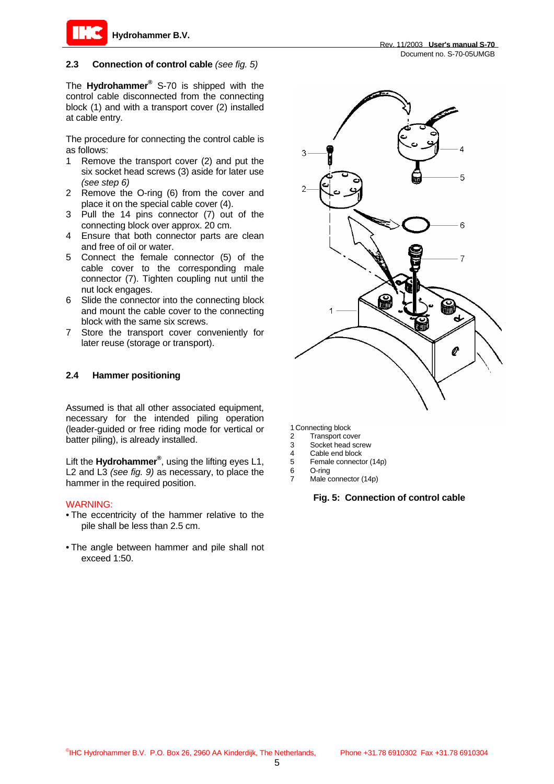

#### **2.3 Connection of control cable** *(see fig. 5)*

The **Hydrohammer®** S-70 is shipped with the control cable disconnected from the connecting block (1) and with a transport cover (2) installed at cable entry.

The procedure for connecting the control cable is as follows:

- 1 Remove the transport cover (2) and put the six socket head screws (3) aside for later use *(see step 6)*
- 2 Remove the O-ring (6) from the cover and place it on the special cable cover (4).
- 3 Pull the 14 pins connector (7) out of the connecting block over approx. 20 cm.
- 4 Ensure that both connector parts are clean and free of oil or water.
- 5 Connect the female connector (5) of the cable cover to the corresponding male connector (7). Tighten coupling nut until the nut lock engages.
- 6 Slide the connector into the connecting block and mount the cable cover to the connecting block with the same six screws.
- 7 Store the transport cover conveniently for later reuse (storage or transport).

#### **2.4 Hammer positioning**

Assumed is that all other associated equipment, necessary for the intended piling operation (leader-guided or free riding mode for vertical or batter piling), is already installed.

Lift the **Hydrohammer®** , using the lifting eyes L1, L2 and L3 *(see fig. 9)* as necessary, to place the hammer in the required position.

#### WARNING:

- The eccentricity of the hammer relative to the pile shall be less than 2.5 cm.
- The angle between hammer and pile shall not exceed 1:50.





1 Connecting block

- 2 Transport cover<br>3 Socket head scr
- Socket head screw
- 4 Cable end block<br>5 Female connecte 5 Female connector (14p)
- 6 O-ring
- Male connector (14p)

#### **Fig. 5: Connection of control cable**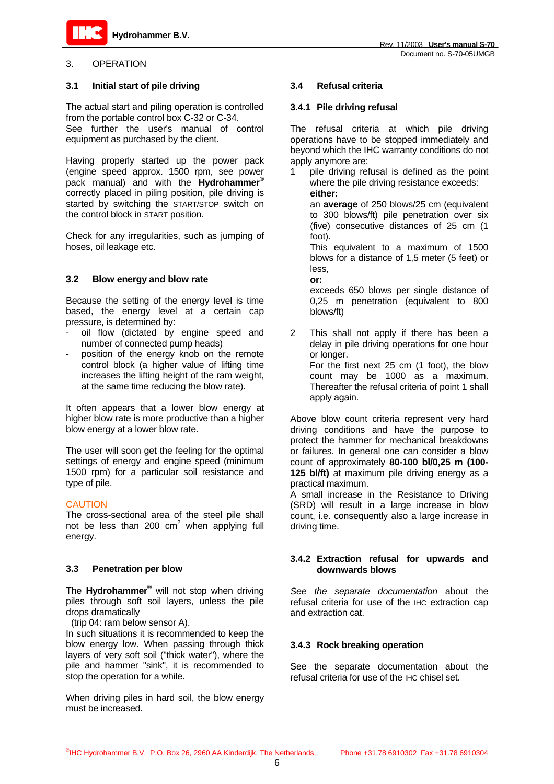## 3. OPERATION

#### **3.1 Initial start of pile driving**

The actual start and piling operation is controlled from the portable control box C-32 or C-34.

See further the user's manual of control equipment as purchased by the client.

Having properly started up the power pack (engine speed approx. 1500 rpm, see power pack manual) and with the **Hydrohammer®** correctly placed in piling position, pile driving is started by switching the START/STOP switch on the control block in START position.

Check for any irregularities, such as jumping of hoses, oil leakage etc.

## **3.2 Blow energy and blow rate**

Because the setting of the energy level is time based, the energy level at a certain cap pressure, is determined by:

- oil flow (dictated by engine speed and number of connected pump heads)
- position of the energy knob on the remote control block (a higher value of lifting time increases the lifting height of the ram weight, at the same time reducing the blow rate).

It often appears that a lower blow energy at higher blow rate is more productive than a higher blow energy at a lower blow rate.

The user will soon get the feeling for the optimal settings of energy and engine speed (minimum 1500 rpm) for a particular soil resistance and type of pile.

#### **CAUTION**

The cross-sectional area of the steel pile shall not be less than 200  $\text{cm}^2$  when applying full energy.

## **3.3 Penetration per blow**

The **Hydrohammer**® will not stop when driving piles through soft soil layers, unless the pile drops dramatically

(trip 04: ram below sensor A).

In such situations it is recommended to keep the blow energy low. When passing through thick layers of very soft soil ("thick water"), where the pile and hammer "sink", it is recommended to stop the operation for a while.

When driving piles in hard soil, the blow energy must be increased.

## **3.4 Refusal criteria**

## **3.4.1 Pile driving refusal**

The refusal criteria at which pile driving operations have to be stopped immediately and beyond which the IHC warranty conditions do not apply anymore are:

1 pile driving refusal is defined as the point where the pile driving resistance exceeds:  **either:** 

an **average** of 250 blows/25 cm (equivalent to 300 blows/ft) pile penetration over six (five) consecutive distances of 25 cm (1 foot).

This equivalent to a maximum of 1500 blows for a distance of 1,5 meter (5 feet) or less,

**or:** 

exceeds 650 blows per single distance of 0,25 m penetration (equivalent to 800 blows/ft)

2 This shall not apply if there has been a delay in pile driving operations for one hour or longer. For the first next 25 cm (1 foot), the blow count may be 1000 as a maximum. Thereafter the refusal criteria of point 1 shall apply again.

Above blow count criteria represent very hard driving conditions and have the purpose to protect the hammer for mechanical breakdowns or failures. In general one can consider a blow count of approximately **80-100 bl/0,25 m (100- 125 bl/ft)** at maximum pile driving energy as a practical maximum.

A small increase in the Resistance to Driving (SRD) will result in a large increase in blow count, i.e. consequently also a large increase in driving time.

## **3.4.2 Extraction refusal for upwards and downwards blows**

*See the separate documentation* about the refusal criteria for use of the IHC extraction cap and extraction cat.

## **3.4.3 Rock breaking operation**

See the separate documentation about the refusal criteria for use of the IHC chisel set.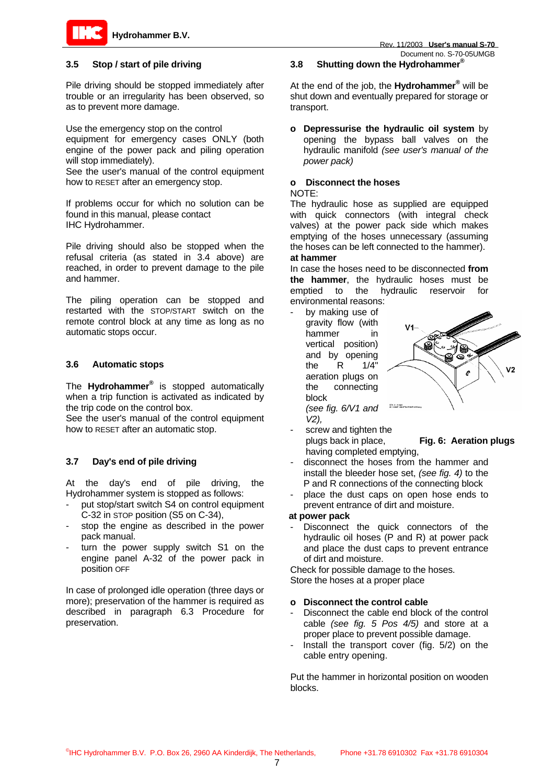



## **3.5 Stop / start of pile driving**

Pile driving should be stopped immediately after trouble or an irregularity has been observed, so as to prevent more damage.

Use the emergency stop on the control

equipment for emergency cases ONLY (both engine of the power pack and piling operation will stop immediately).

See the user's manual of the control equipment how to RESET after an emergency stop.

If problems occur for which no solution can be found in this manual, please contact IHC Hydrohammer.

Pile driving should also be stopped when the refusal criteria (as stated in 3.4 above) are reached, in order to prevent damage to the pile and hammer.

The piling operation can be stopped and restarted with the STOP/START switch on the remote control block at any time as long as no automatic stops occur.

## **3.6 Automatic stops**

The **Hydrohammer®** is stopped automatically when a trip function is activated as indicated by the trip code on the control box.

See the user's manual of the control equipment how to RESET after an automatic stop.

## **3.7 Day's end of pile driving**

At the day's end of pile driving, the Hydrohammer system is stopped as follows:

- put stop/start switch S4 on control equipment C-32 in STOP position (S5 on C-34),
- stop the engine as described in the power pack manual.
- turn the power supply switch S1 on the engine panel A-32 of the power pack in position OFF

In case of prolonged idle operation (three days or more); preservation of the hammer is required as described in paragraph 6.3 Procedure for preservation.

## **3.8 Shutting down the Hydrohammer ®**

At the end of the job, the **Hydrohammer®** will be shut down and eventually prepared for storage or transport.

**o Depressurise the hydraulic oil system** by opening the bypass ball valves on the hydraulic manifold *(see user's manual of the power pack)* 

# **o Disconnect the hoses**

#### NOTE:

The hydraulic hose as supplied are equipped with quick connectors (with integral check valves) at the power pack side which makes emptying of the hoses unnecessary (assuming the hoses can be left connected to the hammer). **at hammer** 

In case the hoses need to be disconnected **from the hammer**, the hydraulic hoses must be emptied to the hydraulic reservoir for environmental reasons:

by making use of gravity flow (with hammer in vertical position) and by opening the R 1/4" aeration plugs on the connecting block *(see fig. 6/V1 and* 



- screw and tighten the plugs back in place, **Fig. 6: Aeration plugs**  having completed emptying,
- disconnect the hoses from the hammer and install the bleeder hose set, *(see fig. 4)* to the P and R connections of the connecting block
- place the dust caps on open hose ends to prevent entrance of dirt and moisture.

## **at power pack**

*V2),* 

- Disconnect the quick connectors of the hydraulic oil hoses (P and R) at power pack and place the dust caps to prevent entrance of dirt and moisture.

Check for possible damage to the hoses. Store the hoses at a proper place

#### **o Disconnect the control cable**

- Disconnect the cable end block of the control cable *(see fig. 5 Pos 4/5)* and store at a proper place to prevent possible damage.
- Install the transport cover (fig. 5/2) on the cable entry opening.

Put the hammer in horizontal position on wooden blocks.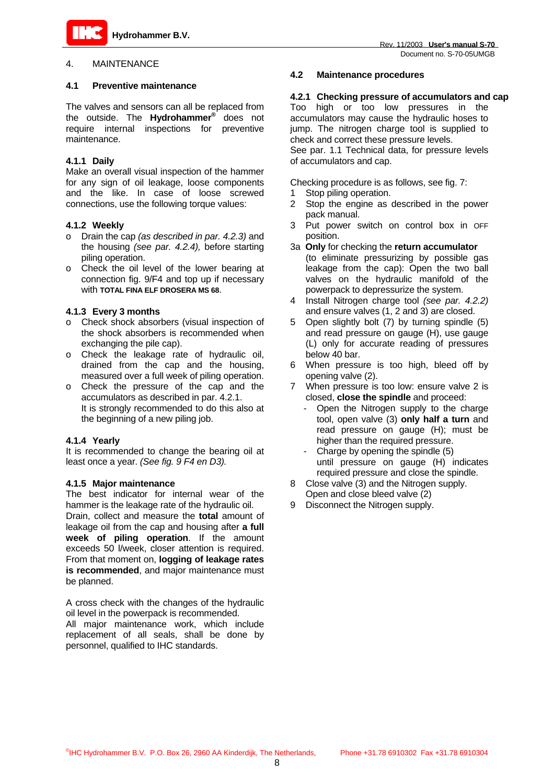

#### **4.1 Preventive maintenance**

The valves and sensors can all be replaced from the outside. The **Hydrohammer®** does not require internal inspections for preventive maintenance.

## **4.1.1 Daily**

Make an overall visual inspection of the hammer for any sign of oil leakage, loose components and the like. In case of loose screwed connections, use the following torque values:

#### **4.1.2 Weekly**

- o Drain the cap *(as described in par. 4.2.3)* and the housing *(see par. 4.2.4),* before starting piling operation.
- o Check the oil level of the lower bearing at connection fig. 9/F4 and top up if necessary with **TOTAL FINA ELF DROSERA MS 68**.

## **4.1.3 Every 3 months**

- o Check shock absorbers (visual inspection of the shock absorbers is recommended when exchanging the pile cap).
- o Check the leakage rate of hydraulic oil, drained from the cap and the housing, measured over a full week of piling operation.
- o Check the pressure of the cap and the accumulators as described in par. 4.2.1. It is strongly recommended to do this also at the beginning of a new piling job.

## **4.1.4 Yearly**

It is recommended to change the bearing oil at least once a year. *(See fig. 9 F4 en D3).*

#### **4.1.5 Major maintenance**

The best indicator for internal wear of the hammer is the leakage rate of the hydraulic oil. Drain, collect and measure the **total** amount of leakage oil from the cap and housing after **a full week of piling operation**. If the amount exceeds 50 l/week, closer attention is required. From that moment on, **logging of leakage rates is recommended**, and major maintenance must be planned.

A cross check with the changes of the hydraulic oil level in the powerpack is recommended.

All major maintenance work, which include replacement of all seals, shall be done by personnel, qualified to IHC standards.

## **4.2 Maintenance procedures**

#### **4.2.1 Checking pressure of accumulators and cap**

Too high or too low pressures in the accumulators may cause the hydraulic hoses to jump. The nitrogen charge tool is supplied to check and correct these pressure levels. See par. 1.1 Technical data, for pressure levels of accumulators and cap.

Checking procedure is as follows, see fig. 7:

- 1 Stop piling operation.
- 2 Stop the engine as described in the power pack manual.
- 3 Put power switch on control box in OFF position.
- 3a **Only** for checking the **return accumulator** (to eliminate pressurizing by possible gas leakage from the cap): Open the two ball valves on the hydraulic manifold of the powerpack to depressurize the system.
- 4 Install Nitrogen charge tool *(see par. 4.2.2)* and ensure valves (1, 2 and 3) are closed.
- 5 Open slightly bolt (7) by turning spindle (5) and read pressure on gauge (H), use gauge (L) only for accurate reading of pressures below 40 bar.
- 6 When pressure is too high, bleed off by opening valve (2).
- 7 When pressure is too low: ensure valve 2 is closed, **close the spindle** and proceed:
	- Open the Nitrogen supply to the charge tool, open valve (3) **only half a turn** and read pressure on gauge (H); must be higher than the required pressure.
	- Charge by opening the spindle (5) until pressure on gauge (H) indicates required pressure and close the spindle.
- 8 Close valve (3) and the Nitrogen supply. Open and close bleed valve (2)
- 9 Disconnect the Nitrogen supply.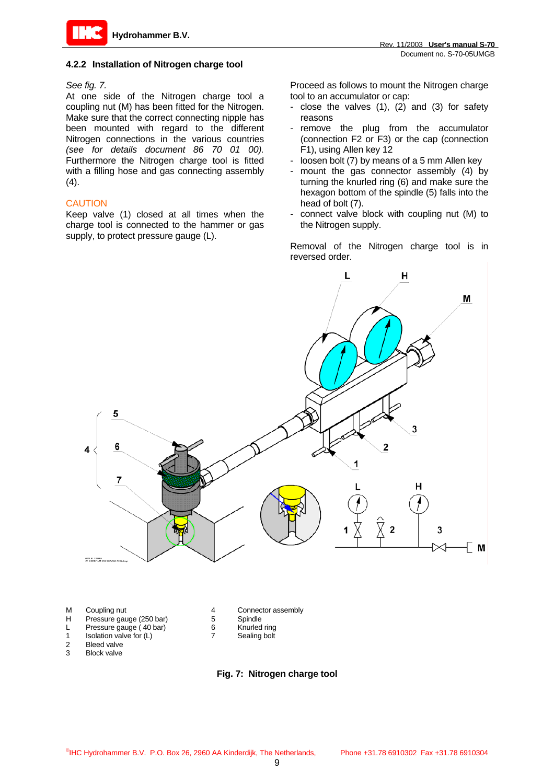

#### **4.2.2 Installation of Nitrogen charge tool**

#### *See fig. 7.*

At one side of the Nitrogen charge tool a coupling nut (M) has been fitted for the Nitrogen. Make sure that the correct connecting nipple has been mounted with regard to the different Nitrogen connections in the various countries *(see for details document 86 70 01 00).* Furthermore the Nitrogen charge tool is fitted with a filling hose and gas connecting assembly  $(4).$ 

Keep valve (1) closed at all times when the charge tool is connected to the hammer or gas supply, to protect pressure gauge (L).

Proceed as follows to mount the Nitrogen charge tool to an accumulator or cap:

- close the valves (1), (2) and (3) for safety reasons
- remove the plug from the accumulator (connection F2 or F3) or the cap (connection F1), using Allen key 12
- loosen bolt (7) by means of a 5 mm Allen key
- mount the gas connector assembly (4) by turning the knurled ring (6) and make sure the hexagon bottom of the spindle (5) falls into the CAUTION head of bolt (7).
	- connect valve block with coupling nut (M) to the Nitrogen supply.

Removal of the Nitrogen charge tool is in reversed order.



- 
- 1 Isolation valve for (L) 7 Sealing bolt
- 2 Bleed valve
- **Block valve**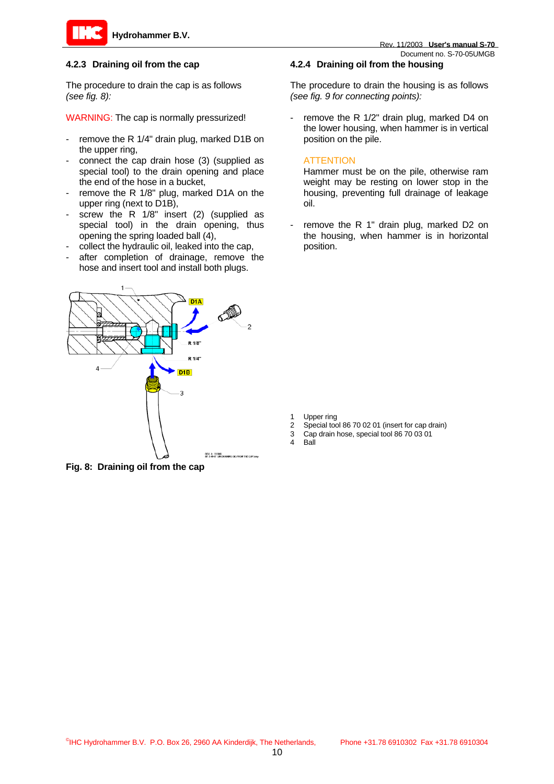

## **4.2.3 Draining oil from the cap**

The procedure to drain the cap is as follows *(see fig. 8):* 

WARNING: The cap is normally pressurized!

- remove the R 1/4" drain plug, marked D1B on the upper ring,
- connect the cap drain hose (3) (supplied as special tool) to the drain opening and place the end of the hose in a bucket,
- remove the R 1/8" plug, marked D1A on the upper ring (next to D1B),
- screw the R  $1/8$ " insert (2) (supplied as special tool) in the drain opening, thus opening the spring loaded ball (4),
- collect the hydraulic oil, leaked into the cap,
- after completion of drainage, remove the hose and insert tool and install both plugs.



**Fig. 8: Draining oil from the cap**

#### **4.2.4 Draining oil from the housing**

The procedure to drain the housing is as follows *(see fig. 9 for connecting points):*

- remove the R 1/2" drain plug, marked D4 on the lower housing, when hammer is in vertical position on the pile.

#### **ATTENTION**

Hammer must be on the pile, otherwise ram weight may be resting on lower stop in the housing, preventing full drainage of leakage oil.

remove the R 1" drain plug, marked D2 on the housing, when hammer is in horizontal position.

- Upper ring
- 2 Special tool 86 70 02 01 (insert for cap drain)<br>3 Cap drain hose, special tool 86 70 03 01
- Cap drain hose, special tool 86 70 03 01
- 4 Ball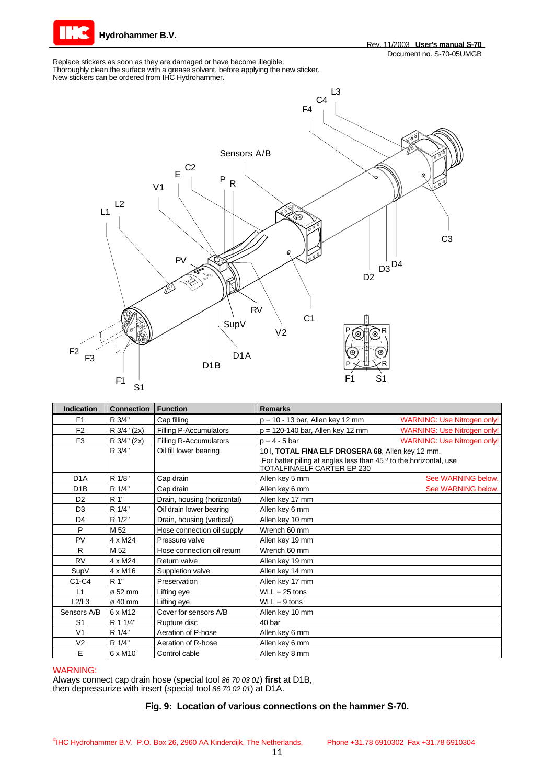

Replace stickers as soon as they are damaged or have become illegible. Thoroughly clean the surface with a grease solvent, before applying the new sticker. New stickers can be ordered from IHC Hydrohammer.



| <b>Indication</b> | <b>Connection</b>   | <b>Function</b>               | <b>Remarks</b>                                                                                  |
|-------------------|---------------------|-------------------------------|-------------------------------------------------------------------------------------------------|
| F <sub>1</sub>    | R 3/4"              | Cap filling                   | $p = 10 - 13$ bar, Allen key 12 mm<br><b>WARNING: Use Nitrogen only!</b>                        |
| F <sub>2</sub>    | R 3/4" (2x)         | Filling P-Accumulators        | <b>WARNING: Use Nitrogen only!</b><br>$p = 120-140$ bar, Allen key 12 mm                        |
| F <sub>3</sub>    | R 3/4" (2x)         | <b>Filling R-Accumulators</b> | $p = 4 - 5$ bar<br><b>WARNING: Use Nitrogen only!</b>                                           |
|                   | R 3/4"              | Oil fill lower bearing        | 10 I, TOTAL FINA ELF DROSERA 68, Allen key 12 mm.                                               |
|                   |                     |                               | For batter piling at angles less than 45 ° to the horizontal, use<br>TOTALFINAELF CARTER EP 230 |
| D <sub>1</sub> A  | R 1/8"              | Cap drain                     | Allen key 5 mm<br>See WARNING below.                                                            |
| D <sub>1</sub> B  | R 1/4"              | Cap drain                     | Allen key 6 mm<br>See WARNING below.                                                            |
| D <sub>2</sub>    | R 1"                | Drain, housing (horizontal)   | Allen key 17 mm                                                                                 |
| D <sub>3</sub>    | R 1/4"              | Oil drain lower bearing       | Allen key 6 mm                                                                                  |
| D <sub>4</sub>    | R 1/2"              | Drain, housing (vertical)     | Allen key 10 mm                                                                                 |
| P                 | M 52                | Hose connection oil supply    | Wrench 60 mm                                                                                    |
| PV                | $4 \times M24$      | Pressure valve                | Allen key 19 mm                                                                                 |
| R                 | M 52                | Hose connection oil return    | Wrench 60 mm                                                                                    |
| <b>RV</b>         | 4 x M24             | Return valve                  | Allen key 19 mm                                                                                 |
| SupV              | 4 x M16             | Suppletion valve              | Allen key 14 mm                                                                                 |
| $C1-C4$           | R 1"                | Preservation                  | Allen key 17 mm                                                                                 |
| L1                | ø 52 mm             | Lifting eye                   | $WLL = 25$ tons                                                                                 |
| L2/L3             | $\sigma$ 40 mm      | Lifting eye                   | $WLL = 9$ tons                                                                                  |
| Sensors A/B       | 6 x M12             | Cover for sensors A/B         | Allen key 10 mm                                                                                 |
| S <sub>1</sub>    | R 1 1/4"            | Rupture disc                  | 40 bar                                                                                          |
| V <sub>1</sub>    | R 1/4"              | Aeration of P-hose            | Allen key 6 mm                                                                                  |
| V <sub>2</sub>    | R 1/4"              | Aeration of R-hose            | Allen key 6 mm                                                                                  |
| E                 | 6 x M <sub>10</sub> | Control cable                 | Allen key 8 mm                                                                                  |

#### WARNING:

Always connect cap drain hose (special tool *86 70 03 01*) **first** at D1B, then depressurize with insert (special tool *86 70 02 01*) at D1A.

#### **Fig. 9: Location of various connections on the hammer S-70.**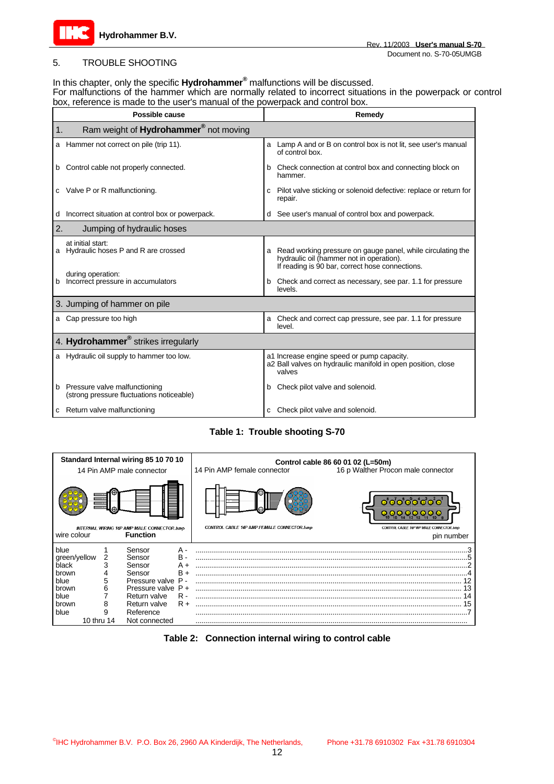

## 5. TROUBLE SHOOTING

# In this chapter, only the specific **Hydrohammer®** malfunctions will be discussed.

For malfunctions of the hammer which are normally related to incorrect situations in the powerpack or control box, reference is made to the user's manual of the powerpack and control box.

| Possible cause                                                                  | Remedy                                                                                                                                                          |  |  |  |
|---------------------------------------------------------------------------------|-----------------------------------------------------------------------------------------------------------------------------------------------------------------|--|--|--|
| Ram weight of Hydrohammer® not moving<br>1.                                     |                                                                                                                                                                 |  |  |  |
| a Hammer not correct on pile (trip 11).                                         | a Lamp A and or B on control box is not lit, see user's manual<br>of control box.                                                                               |  |  |  |
| Control cable not properly connected.<br>b                                      | Check connection at control box and connecting block on<br>b<br>hammer.                                                                                         |  |  |  |
| c Valve P or R malfunctioning.                                                  | Pilot valve sticking or solenoid defective: replace or return for<br>C<br>repair.                                                                               |  |  |  |
| Incorrect situation at control box or powerpack.<br>d                           | d See user's manual of control box and powerpack.                                                                                                               |  |  |  |
| 2.<br>Jumping of hydraulic hoses                                                |                                                                                                                                                                 |  |  |  |
| at initial start:<br>a Hydraulic hoses P and R are crossed                      | Read working pressure on gauge panel, while circulating the<br>a<br>hydraulic oil (hammer not in operation).<br>If reading is 90 bar, correct hose connections. |  |  |  |
| during operation:<br>Incorrect pressure in accumulators<br>b                    | Check and correct as necessary, see par. 1.1 for pressure<br>b<br>levels.                                                                                       |  |  |  |
| 3. Jumping of hammer on pile                                                    |                                                                                                                                                                 |  |  |  |
| a Cap pressure too high                                                         | Check and correct cap pressure, see par. 1.1 for pressure<br>a<br>level.                                                                                        |  |  |  |
| 4. Hydrohammer <sup>®</sup> strikes irregularly                                 |                                                                                                                                                                 |  |  |  |
| a Hydraulic oil supply to hammer too low.                                       | a1 Increase engine speed or pump capacity.<br>a2 Ball valves on hydraulic manifold in open position, close<br>valves                                            |  |  |  |
| Pressure valve malfunctioning<br>b<br>(strong pressure fluctuations noticeable) | Check pilot valve and solenoid.<br>b                                                                                                                            |  |  |  |
| c Return valve malfunctioning                                                   | Check pilot valve and solenoid.                                                                                                                                 |  |  |  |

## **Table 1: Trouble shooting S-70**



#### **Table 2: Connection internal wiring to control cable**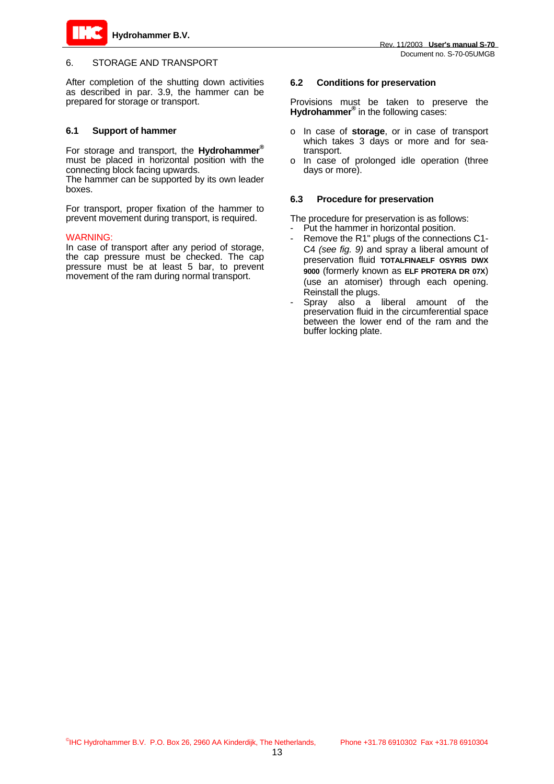

## 6. STORAGE AND TRANSPORT

After completion of the shutting down activities as described in par. 3.9, the hammer can be prepared for storage or transport.

#### **6.1 Support of hammer**

For storage and transport, the **Hydrohammer®** must be placed in horizontal position with the connecting block facing upwards.

The hammer can be supported by its own leader boxes.

For transport, proper fixation of the hammer to prevent movement during transport, is required.

#### WARNING:

In case of transport after any period of storage, the cap pressure must be checked. The cap pressure must be at least 5 bar, to prevent movement of the ram during normal transport.

## **6.2 Conditions for preservation**

Provisions must be taken to preserve the Hydrohammer<sup>®</sup> in the following cases:

- o In case of **storage**, or in case of transport which takes 3 days or more and for seatransport.
- o In case of prolonged idle operation (three days or more).

#### **6.3 Procedure for preservation**

The procedure for preservation is as follows:

- Put the hammer in horizontal position.
- Remove the R1" plugs of the connections C1-C4 *(see fig. 9)* and spray a liberal amount of preservation fluid **TOTALFINAELF OSYRIS DWX 9000** (formerly known as **ELF PROTERA DR 07X**) (use an atomiser) through each opening. Reinstall the plugs.
- Spray also a liberal amount of the preservation fluid in the circumferential space between the lower end of the ram and the buffer locking plate.